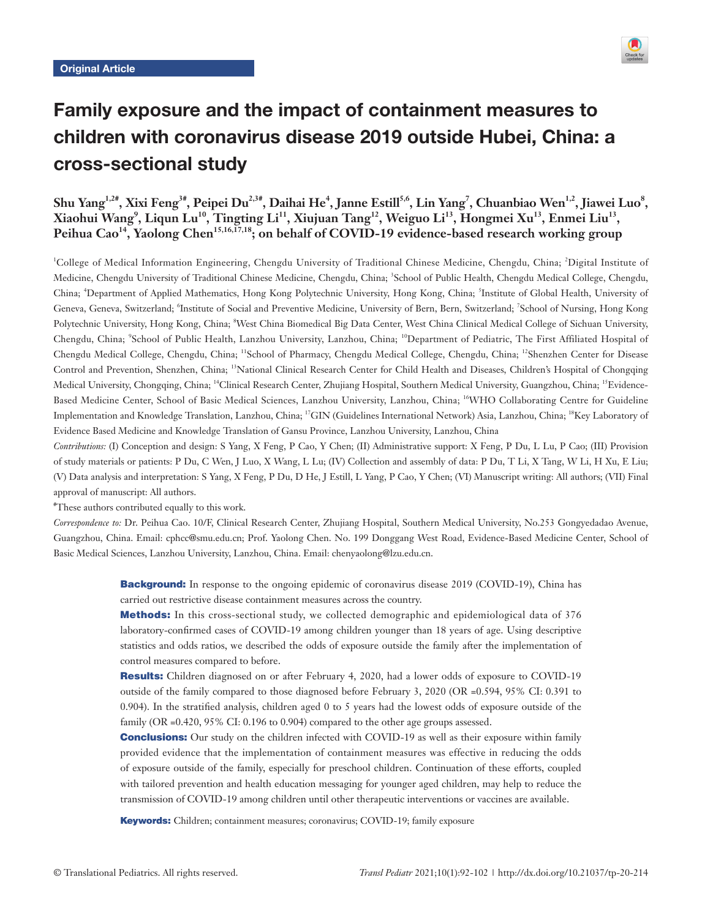

# Family exposure and the impact of containment measures to children with coronavirus disease 2019 outside Hubei, China: a cross-sectional study

Shu Yang<sup>1,2#</sup>, Xixi Feng<sup>3#</sup>, Peipei Du<sup>2,3#</sup>, Daihai He<sup>4</sup>, Janne Estill<sup>5,6</sup>, Lin Yang<sup>7</sup>, Chuanbiao Wen<sup>1,2</sup>, Jiawei Luo<sup>8</sup>, **Xiaohui Wang9 , Liqun Lu10, Tingting Li11, Xiujuan Tang12, Weiguo Li13, Hongmei Xu13, Enmei Liu13,**  Peihua Cao<sup>14</sup>, Yaolong Chen<sup>15,16,17,18</sup>; on behalf of COVID-19 evidence-based research working group

<sup>1</sup>College of Medical Information Engineering, Chengdu University of Traditional Chinese Medicine, Chengdu, China; <sup>2</sup>Digital Institute of Medicine, Chengdu University of Traditional Chinese Medicine, Chengdu, China; <sup>3</sup>School of Public Health, Chengdu Medical College, Chengdu, China; <sup>4</sup>Department of Applied Mathematics, Hong Kong Polytechnic University, Hong Kong, China; <sup>5</sup>Institute of Global Health, University of Geneva, Geneva, Switzerland; <sup>6</sup>Institute of Social and Preventive Medicine, University of Bern, Bern, Switzerland; <sup>7</sup>School of Nursing, Hong Kong Polytechnic University, Hong Kong, China; <sup>8</sup>West China Biomedical Big Data Center, West China Clinical Medical College of Sichuan University, Chengdu, China; <sup>9</sup>School of Public Health, Lanzhou University, Lanzhou, China; <sup>10</sup>Department of Pediatric, The First Affiliated Hospital of Chengdu Medical College, Chengdu, China; 11School of Pharmacy, Chengdu Medical College, Chengdu, China; 12Shenzhen Center for Disease Control and Prevention, Shenzhen, China; 13National Clinical Research Center for Child Health and Diseases, Children's Hospital of Chongqing Medical University, Chongqing, China; 14Clinical Research Center, Zhujiang Hospital, Southern Medical University, Guangzhou, China; 15Evidence-Based Medicine Center, School of Basic Medical Sciences, Lanzhou University, Lanzhou, China; <sup>16</sup>WHO Collaborating Centre for Guideline Implementation and Knowledge Translation, Lanzhou, China; 17GIN (Guidelines International Network) Asia, Lanzhou, China; 18Key Laboratory of Evidence Based Medicine and Knowledge Translation of Gansu Province, Lanzhou University, Lanzhou, China

*Contributions:* (I) Conception and design: S Yang, X Feng, P Cao, Y Chen; (II) Administrative support: X Feng, P Du, L Lu, P Cao; (III) Provision of study materials or patients: P Du, C Wen, J Luo, X Wang, L Lu; (IV) Collection and assembly of data: P Du, T Li, X Tang, W Li, H Xu, E Liu; (V) Data analysis and interpretation: S Yang, X Feng, P Du, D He, J Estill, L Yang, P Cao, Y Chen; (VI) Manuscript writing: All authors; (VII) Final approval of manuscript: All authors.

# These authors contributed equally to this work.

*Correspondence to:* Dr. Peihua Cao. 10/F, Clinical Research Center, Zhujiang Hospital, Southern Medical University, No.253 Gongyedadao Avenue, Guangzhou, China. Email: cphcc@smu.edu.cn; Prof. Yaolong Chen. No. 199 Donggang West Road, Evidence-Based Medicine Center, School of Basic Medical Sciences, Lanzhou University, Lanzhou, China. Email: chenyaolong@lzu.edu.cn.

> **Background:** In response to the ongoing epidemic of coronavirus disease 2019 (COVID-19), China has carried out restrictive disease containment measures across the country.

> Methods: In this cross-sectional study, we collected demographic and epidemiological data of 376 laboratory-confirmed cases of COVID-19 among children younger than 18 years of age. Using descriptive statistics and odds ratios, we described the odds of exposure outside the family after the implementation of control measures compared to before.

> Results: Children diagnosed on or after February 4, 2020, had a lower odds of exposure to COVID-19 outside of the family compared to those diagnosed before February 3, 2020 (OR =0.594, 95% CI: 0.391 to 0.904). In the stratified analysis, children aged 0 to 5 years had the lowest odds of exposure outside of the family (OR =0.420, 95% CI: 0.196 to 0.904) compared to the other age groups assessed.

> **Conclusions:** Our study on the children infected with COVID-19 as well as their exposure within family provided evidence that the implementation of containment measures was effective in reducing the odds of exposure outside of the family, especially for preschool children. Continuation of these efforts, coupled with tailored prevention and health education messaging for younger aged children, may help to reduce the transmission of COVID-19 among children until other therapeutic interventions or vaccines are available.

Keywords: Children; containment measures; coronavirus; COVID-19; family exposure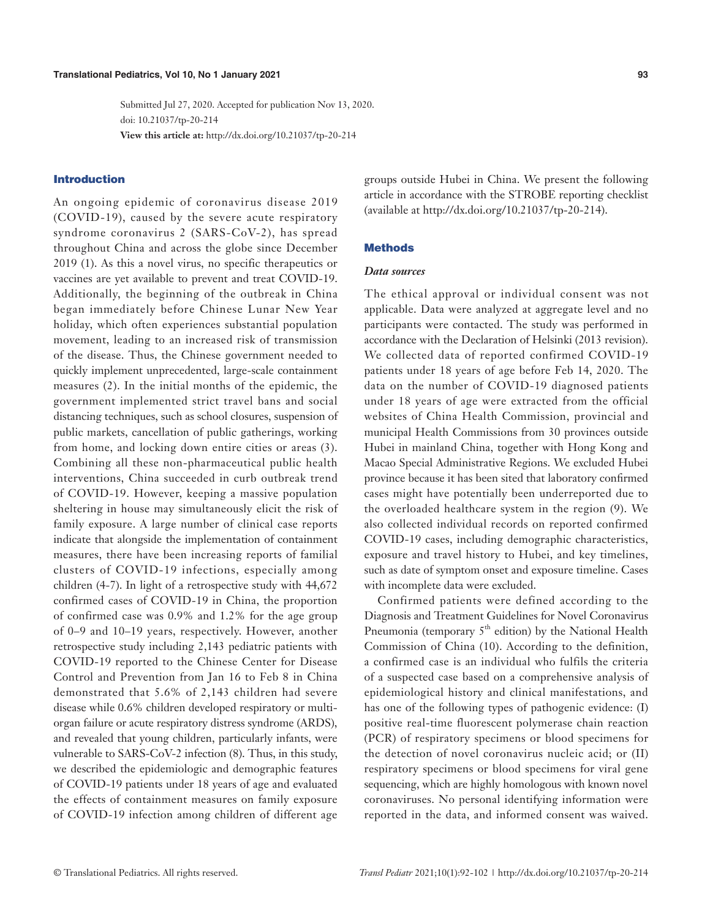Submitted Jul 27, 2020. Accepted for publication Nov 13, 2020. doi: 10.21037/tp-20-214 **View this article at:** http://dx.doi.org/10.21037/tp-20-214

# Introduction

An ongoing epidemic of coronavirus disease 2019 (COVID-19), caused by the severe acute respiratory syndrome coronavirus 2 (SARS-CoV-2), has spread throughout China and across the globe since December 2019 (1). As this a novel virus, no specific therapeutics or vaccines are yet available to prevent and treat COVID-19. Additionally, the beginning of the outbreak in China began immediately before Chinese Lunar New Year holiday, which often experiences substantial population movement, leading to an increased risk of transmission of the disease. Thus, the Chinese government needed to quickly implement unprecedented, large-scale containment measures (2). In the initial months of the epidemic, the government implemented strict travel bans and social distancing techniques, such as school closures, suspension of public markets, cancellation of public gatherings, working from home, and locking down entire cities or areas (3). Combining all these non-pharmaceutical public health interventions, China succeeded in curb outbreak trend of COVID-19. However, keeping a massive population sheltering in house may simultaneously elicit the risk of family exposure. A large number of clinical case reports indicate that alongside the implementation of containment measures, there have been increasing reports of familial clusters of COVID-19 infections, especially among children (4-7). In light of a retrospective study with 44,672 confirmed cases of COVID-19 in China, the proportion of confirmed case was 0.9% and 1.2% for the age group of 0–9 and 10–19 years, respectively. However, another retrospective study including 2,143 pediatric patients with COVID-19 reported to the Chinese Center for Disease Control and Prevention from Jan 16 to Feb 8 in China demonstrated that 5.6% of 2,143 children had severe disease while 0.6% children developed respiratory or multiorgan failure or acute respiratory distress syndrome (ARDS), and revealed that young children, particularly infants, were vulnerable to SARS-CoV-2 infection (8). Thus, in this study, we described the epidemiologic and demographic features of COVID-19 patients under 18 years of age and evaluated the effects of containment measures on family exposure of COVID-19 infection among children of different age

groups outside Hubei in China. We present the following article in accordance with the STROBE reporting checklist (available at http://dx.doi.org/10.21037/tp-20-214).

# Methods

#### *Data sources*

The ethical approval or individual consent was not applicable. Data were analyzed at aggregate level and no participants were contacted. The study was performed in accordance with the Declaration of Helsinki (2013 revision). We collected data of reported confirmed COVID-19 patients under 18 years of age before Feb 14, 2020. The data on the number of COVID-19 diagnosed patients under 18 years of age were extracted from the official websites of China Health Commission, provincial and municipal Health Commissions from 30 provinces outside Hubei in mainland China, together with Hong Kong and Macao Special Administrative Regions. We excluded Hubei province because it has been sited that laboratory confirmed cases might have potentially been underreported due to the overloaded healthcare system in the region (9). We also collected individual records on reported confirmed COVID-19 cases, including demographic characteristics, exposure and travel history to Hubei, and key timelines, such as date of symptom onset and exposure timeline. Cases with incomplete data were excluded.

Confirmed patients were defined according to the Diagnosis and Treatment Guidelines for Novel Coronavirus Pneumonia (temporary  $5<sup>th</sup>$  edition) by the National Health Commission of China (10). According to the definition, a confirmed case is an individual who fulfils the criteria of a suspected case based on a comprehensive analysis of epidemiological history and clinical manifestations, and has one of the following types of pathogenic evidence: (I) positive real-time fluorescent polymerase chain reaction (PCR) of respiratory specimens or blood specimens for the detection of novel coronavirus nucleic acid; or (II) respiratory specimens or blood specimens for viral gene sequencing, which are highly homologous with known novel coronaviruses. No personal identifying information were reported in the data, and informed consent was waived.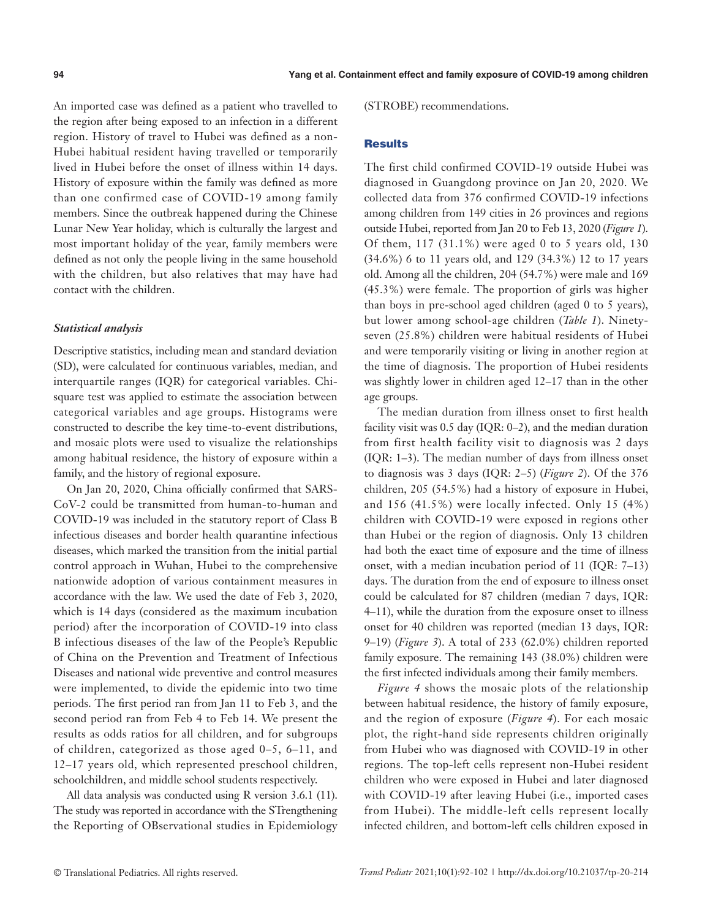An imported case was defined as a patient who travelled to the region after being exposed to an infection in a different region. History of travel to Hubei was defined as a non-Hubei habitual resident having travelled or temporarily lived in Hubei before the onset of illness within 14 days. History of exposure within the family was defined as more than one confirmed case of COVID-19 among family members. Since the outbreak happened during the Chinese Lunar New Year holiday, which is culturally the largest and most important holiday of the year, family members were defined as not only the people living in the same household with the children, but also relatives that may have had contact with the children.

### *Statistical analysis*

Descriptive statistics, including mean and standard deviation (SD), were calculated for continuous variables, median, and interquartile ranges (IQR) for categorical variables. Chisquare test was applied to estimate the association between categorical variables and age groups. Histograms were constructed to describe the key time-to-event distributions, and mosaic plots were used to visualize the relationships among habitual residence, the history of exposure within a family, and the history of regional exposure.

On Jan 20, 2020, China officially confirmed that SARS-CoV-2 could be transmitted from human-to-human and COVID-19 was included in the statutory report of Class B infectious diseases and border health quarantine infectious diseases, which marked the transition from the initial partial control approach in Wuhan, Hubei to the comprehensive nationwide adoption of various containment measures in accordance with the law. We used the date of Feb 3, 2020, which is 14 days (considered as the maximum incubation period) after the incorporation of COVID-19 into class B infectious diseases of the law of the People's Republic of China on the Prevention and Treatment of Infectious Diseases and national wide preventive and control measures were implemented, to divide the epidemic into two time periods. The first period ran from Jan 11 to Feb 3, and the second period ran from Feb 4 to Feb 14. We present the results as odds ratios for all children, and for subgroups of children, categorized as those aged 0–5, 6–11, and 12–17 years old, which represented preschool children, schoolchildren, and middle school students respectively.

All data analysis was conducted using R version 3.6.1 (11). The study was reported in accordance with the STrengthening the Reporting of OBservational studies in Epidemiology (STROBE) recommendations.

# **Results**

The first child confirmed COVID-19 outside Hubei was diagnosed in Guangdong province on Jan 20, 2020. We collected data from 376 confirmed COVID-19 infections among children from 149 cities in 26 provinces and regions outside Hubei, reported from Jan 20 to Feb 13, 2020 (*Figure 1*). Of them, 117 (31.1%) were aged 0 to 5 years old, 130 (34.6%) 6 to 11 years old, and 129 (34.3%) 12 to 17 years old. Among all the children, 204 (54.7%) were male and 169 (45.3%) were female. The proportion of girls was higher than boys in pre-school aged children (aged 0 to 5 years), but lower among school-age children (*Table 1*). Ninetyseven (25.8%) children were habitual residents of Hubei and were temporarily visiting or living in another region at the time of diagnosis. The proportion of Hubei residents was slightly lower in children aged 12–17 than in the other age groups.

The median duration from illness onset to first health facility visit was 0.5 day (IQR: 0–2), and the median duration from first health facility visit to diagnosis was 2 days (IQR: 1–3). The median number of days from illness onset to diagnosis was 3 days (IQR: 2–5) (*Figure 2*). Of the 376 children, 205 (54.5%) had a history of exposure in Hubei, and 156 (41.5%) were locally infected. Only 15 (4%) children with COVID-19 were exposed in regions other than Hubei or the region of diagnosis. Only 13 children had both the exact time of exposure and the time of illness onset, with a median incubation period of 11 (IQR: 7–13) days. The duration from the end of exposure to illness onset could be calculated for 87 children (median 7 days, IQR: 4–11), while the duration from the exposure onset to illness onset for 40 children was reported (median 13 days, IQR: 9–19) (*Figure 3*). A total of 233 (62.0%) children reported family exposure. The remaining 143 (38.0%) children were the first infected individuals among their family members.

*Figure 4* shows the mosaic plots of the relationship between habitual residence, the history of family exposure, and the region of exposure (*Figure 4*). For each mosaic plot, the right-hand side represents children originally from Hubei who was diagnosed with COVID-19 in other regions. The top-left cells represent non-Hubei resident children who were exposed in Hubei and later diagnosed with COVID-19 after leaving Hubei (i.e., imported cases from Hubei). The middle-left cells represent locally infected children, and bottom-left cells children exposed in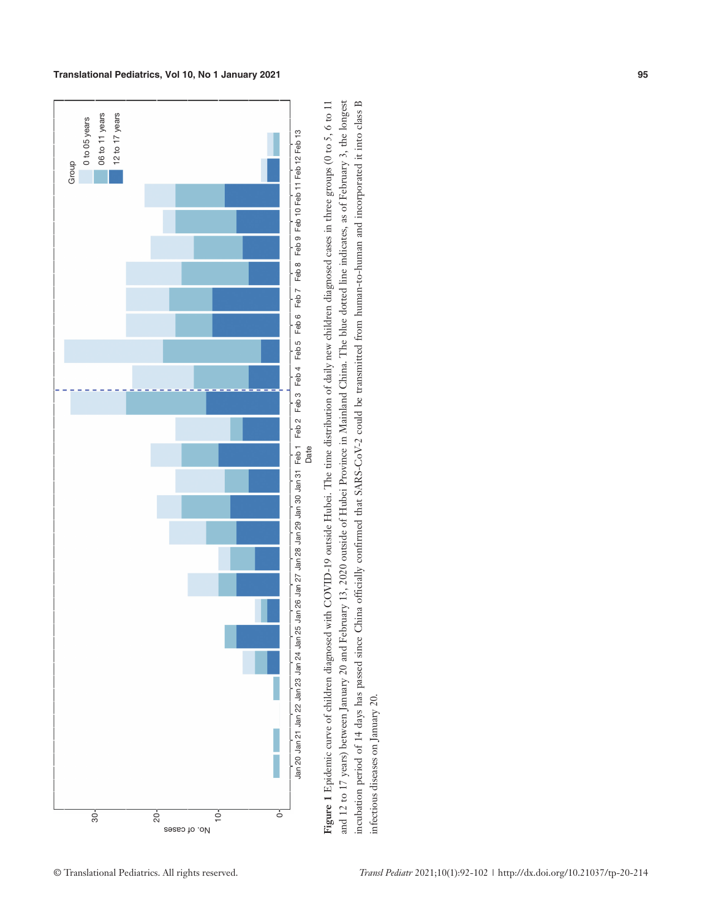

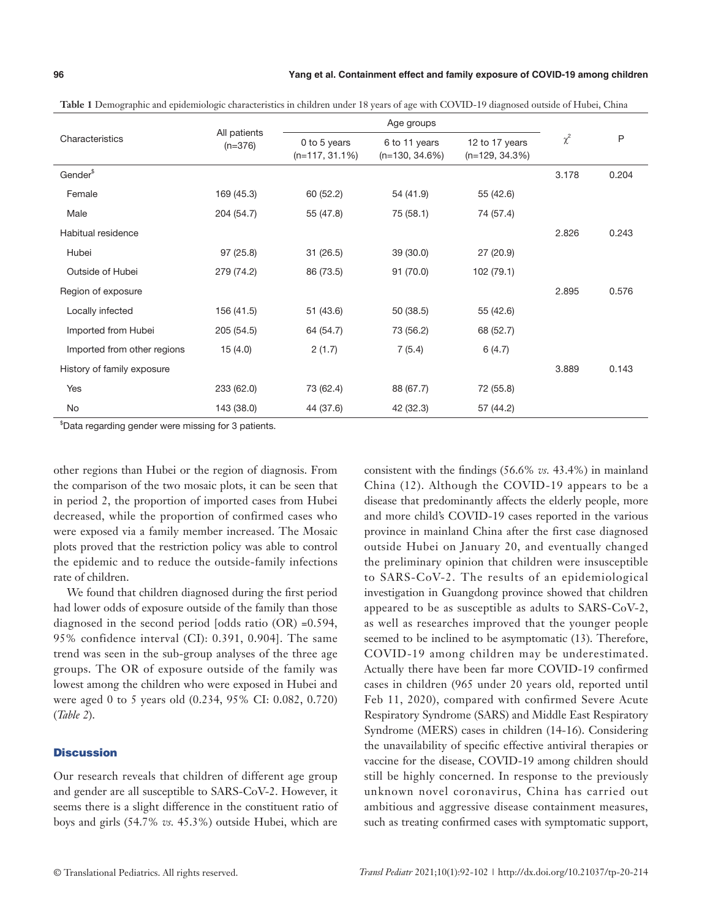|                             |                           |                                   | Age groups                         |                                     |          |       |
|-----------------------------|---------------------------|-----------------------------------|------------------------------------|-------------------------------------|----------|-------|
| Characteristics             | All patients<br>$(n=376)$ | 0 to 5 years<br>$(n=117, 31.1\%)$ | 6 to 11 years<br>$(n=130, 34.6\%)$ | 12 to 17 years<br>$(n=129, 34.3\%)$ | $\chi^2$ | P     |
| Gender <sup>\$</sup>        |                           |                                   |                                    |                                     | 3.178    | 0.204 |
| Female                      | 169 (45.3)                | 60(52.2)                          | 54 (41.9)                          | 55 (42.6)                           |          |       |
| Male                        | 204 (54.7)                | 55 (47.8)                         | 75 (58.1)                          | 74 (57.4)                           |          |       |
| Habitual residence          |                           |                                   |                                    |                                     | 2.826    | 0.243 |
| Hubei                       | 97(25.8)                  | 31(26.5)                          | 39 (30.0)                          | 27(20.9)                            |          |       |
| Outside of Hubei            | 279 (74.2)                | 86 (73.5)                         | 91 (70.0)                          | 102 (79.1)                          |          |       |
| Region of exposure          |                           |                                   |                                    |                                     | 2.895    | 0.576 |
| Locally infected            | 156 (41.5)                | 51 (43.6)                         | 50 (38.5)                          | 55 (42.6)                           |          |       |
| Imported from Hubei         | 205 (54.5)                | 64 (54.7)                         | 73 (56.2)                          | 68 (52.7)                           |          |       |
| Imported from other regions | 15(4.0)                   | 2(1.7)                            | 7(5.4)                             | 6(4.7)                              |          |       |
| History of family exposure  |                           |                                   |                                    |                                     | 3.889    | 0.143 |
| Yes                         | 233 (62.0)                | 73 (62.4)                         | 88 (67.7)                          | 72 (55.8)                           |          |       |
| No                          | 143 (38.0)                | 44 (37.6)                         | 42 (32.3)                          | 57 (44.2)                           |          |       |

**Table 1** Demographic and epidemiologic characteristics in children under 18 years of age with COVID-19 diagnosed outside of Hubei, China

\$ Data regarding gender were missing for 3 patients.

other regions than Hubei or the region of diagnosis. From the comparison of the two mosaic plots, it can be seen that in period 2, the proportion of imported cases from Hubei decreased, while the proportion of confirmed cases who were exposed via a family member increased. The Mosaic plots proved that the restriction policy was able to control the epidemic and to reduce the outside-family infections rate of children.

We found that children diagnosed during the first period had lower odds of exposure outside of the family than those diagnosed in the second period [odds ratio (OR) =0.594, 95% confidence interval (CI): 0.391, 0.904]. The same trend was seen in the sub-group analyses of the three age groups. The OR of exposure outside of the family was lowest among the children who were exposed in Hubei and were aged 0 to 5 years old (0.234, 95% CI: 0.082, 0.720) (*Table 2*).

# **Discussion**

Our research reveals that children of different age group and gender are all susceptible to SARS-CoV-2. However, it seems there is a slight difference in the constituent ratio of boys and girls (54.7% *vs.* 45.3%) outside Hubei, which are

consistent with the findings (56.6% *vs.* 43.4%) in mainland China (12). Although the COVID-19 appears to be a disease that predominantly affects the elderly people, more and more child's COVID-19 cases reported in the various province in mainland China after the first case diagnosed outside Hubei on January 20, and eventually changed the preliminary opinion that children were insusceptible to SARS-CoV-2. The results of an epidemiological investigation in Guangdong province showed that children appeared to be as susceptible as adults to SARS-CoV-2, as well as researches improved that the younger people seemed to be inclined to be asymptomatic (13). Therefore, COVID-19 among children may be underestimated. Actually there have been far more COVID-19 confirmed cases in children (965 under 20 years old, reported until Feb 11, 2020), compared with confirmed Severe Acute Respiratory Syndrome (SARS) and Middle East Respiratory Syndrome (MERS) cases in children (14-16). Considering the unavailability of specific effective antiviral therapies or vaccine for the disease, COVID-19 among children should still be highly concerned. In response to the previously unknown novel coronavirus, China has carried out ambitious and aggressive disease containment measures, such as treating confirmed cases with symptomatic support,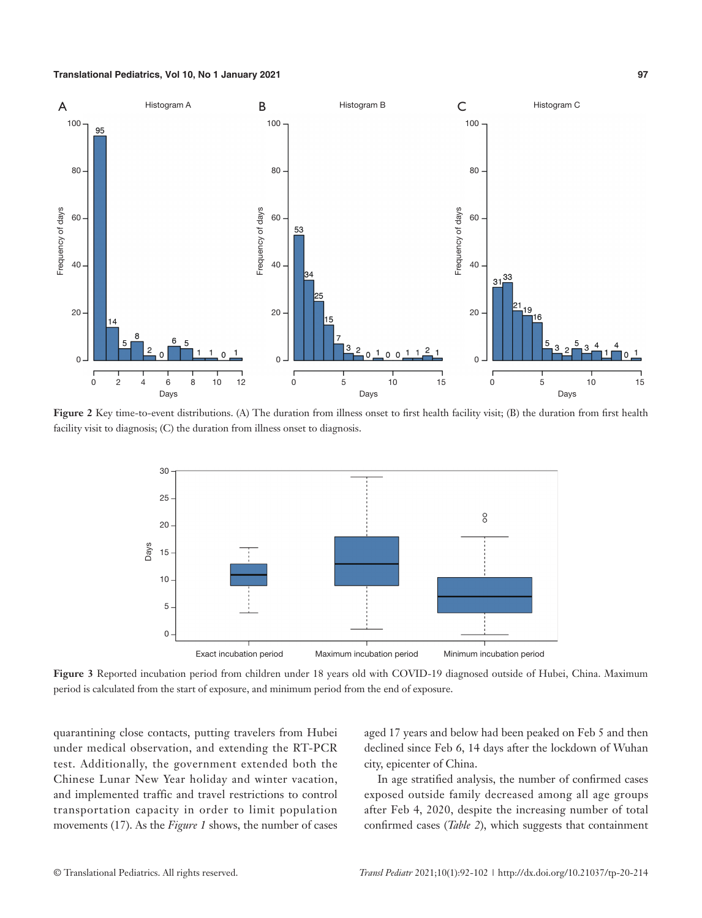

Figure 2 Key time-to-event distributions. (A) The duration from illness onset to first health facility visit; (B) the duration from first health facility visit to diagnosis; (C) the duration from illness onset to diagnosis.



**Figure 3** Reported incubation period from children under 18 years old with COVID-19 diagnosed outside of Hubei, China. Maximum period is calculated from the start of exposure, and minimum period from the end of exposure.

quarantining close contacts, putting travelers from Hubei under medical observation, and extending the RT-PCR test. Additionally, the government extended both the Chinese Lunar New Year holiday and winter vacation, and implemented traffic and travel restrictions to control transportation capacity in order to limit population movements (17). As the *Figure 1* shows, the number of cases aged 17 years and below had been peaked on Feb 5 and then declined since Feb 6, 14 days after the lockdown of Wuhan city, epicenter of China.

In age stratified analysis, the number of confirmed cases exposed outside family decreased among all age groups after Feb 4, 2020, despite the increasing number of total confirmed cases (*Table 2*), which suggests that containment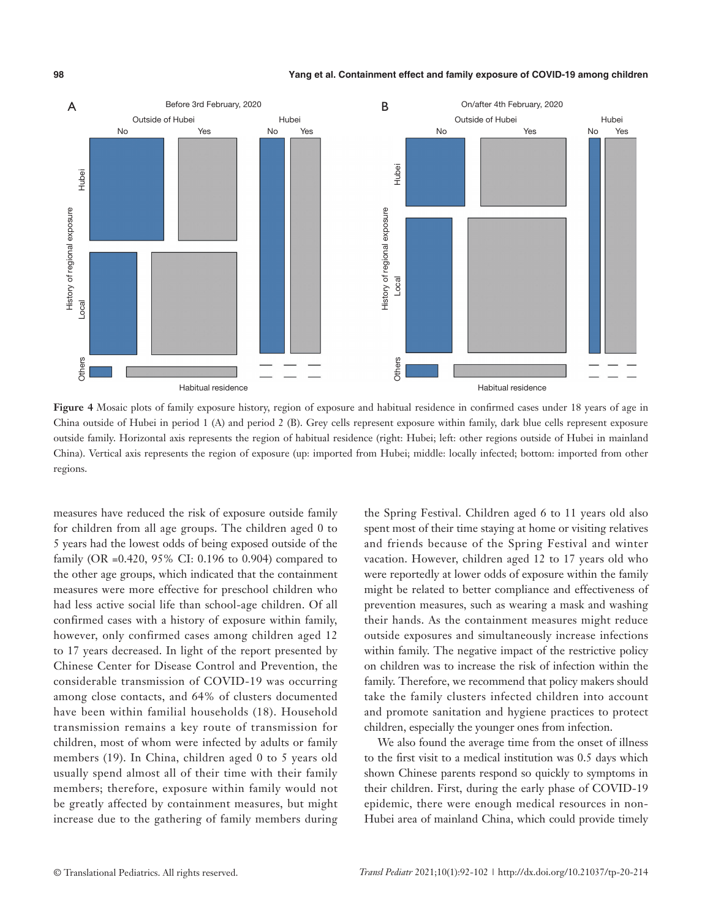#### **98 Yang et al. Containment effect and family exposure of COVID-19 among children**



**Figure 4** Mosaic plots of family exposure history, region of exposure and habitual residence in confirmed cases under 18 years of age in China outside of Hubei in period 1 (A) and period 2 (B). Grey cells represent exposure within family, dark blue cells represent exposure outside family. Horizontal axis represents the region of habitual residence (right: Hubei; left: other regions outside of Hubei in mainland China). Vertical axis represents the region of exposure (up: imported from Hubei; middle: locally infected; bottom: imported from other regions.

measures have reduced the risk of exposure outside family for children from all age groups. The children aged 0 to 5 years had the lowest odds of being exposed outside of the family (OR =0.420, 95% CI: 0.196 to 0.904) compared to the other age groups, which indicated that the containment measures were more effective for preschool children who had less active social life than school-age children. Of all confirmed cases with a history of exposure within family, however, only confirmed cases among children aged 12 to 17 years decreased. In light of the report presented by Chinese Center for Disease Control and Prevention, the considerable transmission of COVID-19 was occurring among close contacts, and 64% of clusters documented have been within familial households (18). Household transmission remains a key route of transmission for children, most of whom were infected by adults or family members (19). In China, children aged 0 to 5 years old usually spend almost all of their time with their family members; therefore, exposure within family would not be greatly affected by containment measures, but might increase due to the gathering of family members during

the Spring Festival. Children aged 6 to 11 years old also spent most of their time staying at home or visiting relatives and friends because of the Spring Festival and winter vacation. However, children aged 12 to 17 years old who were reportedly at lower odds of exposure within the family might be related to better compliance and effectiveness of prevention measures, such as wearing a mask and washing their hands. As the containment measures might reduce outside exposures and simultaneously increase infections within family. The negative impact of the restrictive policy on children was to increase the risk of infection within the family. Therefore, we recommend that policy makers should take the family clusters infected children into account and promote sanitation and hygiene practices to protect children, especially the younger ones from infection.

We also found the average time from the onset of illness to the first visit to a medical institution was 0.5 days which shown Chinese parents respond so quickly to symptoms in their children. First, during the early phase of COVID-19 epidemic, there were enough medical resources in non-Hubei area of mainland China, which could provide timely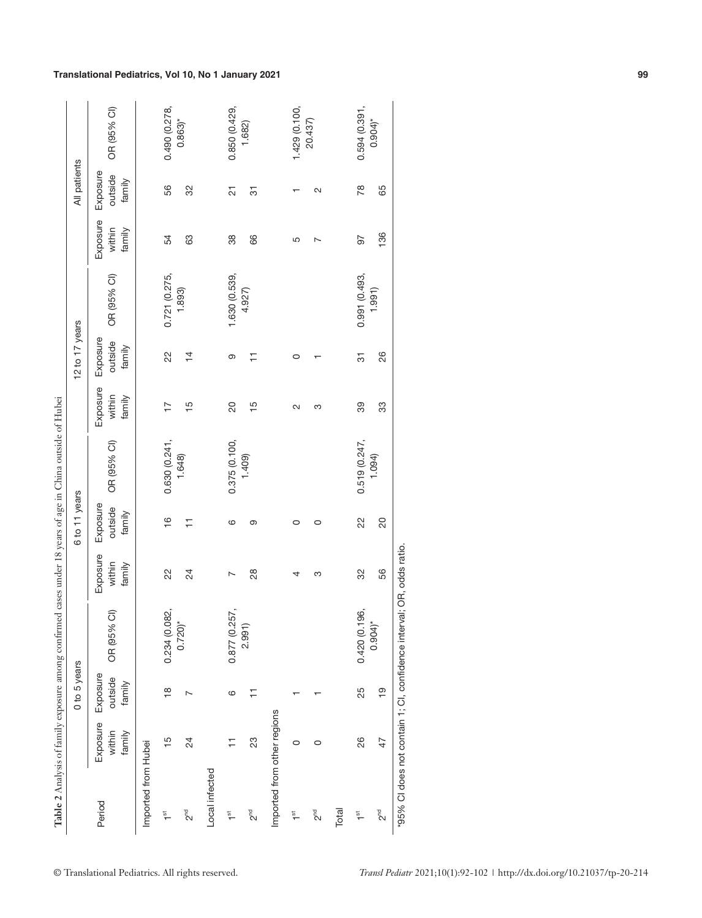| ֖֖֖֖֖֧֧ׅ֖֖֧֖֧֚֚֚֚֚֚֚֚֚֚֚֚֚֚֚֚֚֚֚֚֚֚֚֚֚֬֝֓֝֬֝֓֞֝                                            |
|--------------------------------------------------------------------------------------------|
| ׇ֚֘                                                                                        |
| )<br> <br> <br>֠                                                                           |
|                                                                                            |
|                                                                                            |
|                                                                                            |
| ,,,,,,,,,,,,,,                                                                             |
|                                                                                            |
|                                                                                            |
| i                                                                                          |
|                                                                                            |
| ١                                                                                          |
| ı                                                                                          |
|                                                                                            |
| $\frac{1}{2}$                                                                              |
| ¢                                                                                          |
|                                                                                            |
|                                                                                            |
|                                                                                            |
|                                                                                            |
|                                                                                            |
|                                                                                            |
|                                                                                            |
|                                                                                            |
|                                                                                            |
|                                                                                            |
|                                                                                            |
|                                                                                            |
|                                                                                            |
|                                                                                            |
| ֖֖֖֖֖֧ׅׅ֖֖֧ׅ֪ׅ֪֧֪ׅ֖֧֪ׅ֪֪֪֪֪ׅ֪֪ׅ֚֚֚֚֚֚֚֚֚֚֚֚֚֚֚֚֚֚֚֚֚֚֡֝֬֝֬֝֬֝֬֝֬֓֬֝֬֓֬֝֬֝֬֝֬֝֬֝֬֝֬֝֬֝֬֝֬֝֬ |
|                                                                                            |
|                                                                                            |
|                                                                                            |
|                                                                                            |
|                                                                                            |
|                                                                                            |
|                                                                                            |
| ï                                                                                          |
| ţ                                                                                          |
| ¢                                                                                          |
| e 2                                                                                        |

| 0.594(0.391,<br>1.429 (0.100,<br>0.850 (0.429,<br>OR (95% CI)<br>0.490 (0.278,<br>20.437)<br>$0.863$ <sup>*</sup><br>1.682)<br>Exposure<br>outside<br>family<br>56<br>32<br>78<br>$\overline{5}$<br>$\overline{\mathcal{L}}$<br>$\sim$<br>$\mathbf{\tau}$<br>Exposure<br>within<br>family<br>63<br>$38\,$<br>66<br>54<br>50<br>Ю<br>$\overline{\phantom{a}}$<br>1.630 (0.539,<br>0.991 (0.493,<br>0.721 (0.275,<br>OR (95% CI)<br>1.893)<br>4.927)<br>Exposure<br>outside<br>family<br>22<br>$\overline{4}$<br>$\overline{5}$<br>$\overline{+}$<br>ၜ<br>$\circ$<br>Exposure<br>within<br>family<br>$\frac{5}{3}$<br>$\overline{\mathtt{S}}$<br>$\frac{5}{1}$<br>89<br>17<br>S<br>$\sim$<br>0.519(0.247,<br>0.630(0.241,<br>0.375 (0.100,<br>OR (95% CI)<br>1.409)<br>1.648)<br>Exposure<br>outside<br>family<br>$\frac{6}{1}$<br>22<br>$\overline{1}$<br>ၜ<br>$\circ$<br>$\mathbf{\circ}$<br>$\circ$<br>Exposure<br>within<br>family<br>22<br>24<br>28<br>32<br>S<br>N<br>4<br>0.234 (0.082,<br>0.877 (0.257,<br>0.420 (0.196,<br>$\widehat{\mathbb{C}}$<br>$0.720$ <sup>*</sup><br>OR (95%<br>2.991<br>Exposure<br>outside<br>family<br>25<br>$\frac{\infty}{\infty}$<br>Ξ<br>$\overline{ }$<br>$\circ$<br>᠇<br>Imported from other regions<br>Exposure<br>within<br>family<br>23<br>26<br>$\frac{15}{2}$<br>$^{24}$<br>Η<br>$\circ$<br>$\circ$<br>Imported from Hubei<br>Local infected<br>Period<br>$2^{rd}$<br>Total<br>$2^{nd}$<br>$2^{nd}$<br>$\frac{5}{10}$<br>$\stackrel{\text{\tiny{6}}}{\text{\small{-}}}$<br>$\stackrel{\text{\tiny{5}}}{\text{-}}$<br>$\stackrel{\text{\tiny{5}}}{\text{\tiny{T}}}$ |
|-----------------------------------------------------------------------------------------------------------------------------------------------------------------------------------------------------------------------------------------------------------------------------------------------------------------------------------------------------------------------------------------------------------------------------------------------------------------------------------------------------------------------------------------------------------------------------------------------------------------------------------------------------------------------------------------------------------------------------------------------------------------------------------------------------------------------------------------------------------------------------------------------------------------------------------------------------------------------------------------------------------------------------------------------------------------------------------------------------------------------------------------------------------------------------------------------------------------------------------------------------------------------------------------------------------------------------------------------------------------------------------------------------------------------------------------------------------------------------------------------------------------------------------------------------------------------------------------------------------------|
|                                                                                                                                                                                                                                                                                                                                                                                                                                                                                                                                                                                                                                                                                                                                                                                                                                                                                                                                                                                                                                                                                                                                                                                                                                                                                                                                                                                                                                                                                                                                                                                                                 |
|                                                                                                                                                                                                                                                                                                                                                                                                                                                                                                                                                                                                                                                                                                                                                                                                                                                                                                                                                                                                                                                                                                                                                                                                                                                                                                                                                                                                                                                                                                                                                                                                                 |
|                                                                                                                                                                                                                                                                                                                                                                                                                                                                                                                                                                                                                                                                                                                                                                                                                                                                                                                                                                                                                                                                                                                                                                                                                                                                                                                                                                                                                                                                                                                                                                                                                 |
|                                                                                                                                                                                                                                                                                                                                                                                                                                                                                                                                                                                                                                                                                                                                                                                                                                                                                                                                                                                                                                                                                                                                                                                                                                                                                                                                                                                                                                                                                                                                                                                                                 |
|                                                                                                                                                                                                                                                                                                                                                                                                                                                                                                                                                                                                                                                                                                                                                                                                                                                                                                                                                                                                                                                                                                                                                                                                                                                                                                                                                                                                                                                                                                                                                                                                                 |
|                                                                                                                                                                                                                                                                                                                                                                                                                                                                                                                                                                                                                                                                                                                                                                                                                                                                                                                                                                                                                                                                                                                                                                                                                                                                                                                                                                                                                                                                                                                                                                                                                 |
|                                                                                                                                                                                                                                                                                                                                                                                                                                                                                                                                                                                                                                                                                                                                                                                                                                                                                                                                                                                                                                                                                                                                                                                                                                                                                                                                                                                                                                                                                                                                                                                                                 |
|                                                                                                                                                                                                                                                                                                                                                                                                                                                                                                                                                                                                                                                                                                                                                                                                                                                                                                                                                                                                                                                                                                                                                                                                                                                                                                                                                                                                                                                                                                                                                                                                                 |
|                                                                                                                                                                                                                                                                                                                                                                                                                                                                                                                                                                                                                                                                                                                                                                                                                                                                                                                                                                                                                                                                                                                                                                                                                                                                                                                                                                                                                                                                                                                                                                                                                 |
|                                                                                                                                                                                                                                                                                                                                                                                                                                                                                                                                                                                                                                                                                                                                                                                                                                                                                                                                                                                                                                                                                                                                                                                                                                                                                                                                                                                                                                                                                                                                                                                                                 |
|                                                                                                                                                                                                                                                                                                                                                                                                                                                                                                                                                                                                                                                                                                                                                                                                                                                                                                                                                                                                                                                                                                                                                                                                                                                                                                                                                                                                                                                                                                                                                                                                                 |
|                                                                                                                                                                                                                                                                                                                                                                                                                                                                                                                                                                                                                                                                                                                                                                                                                                                                                                                                                                                                                                                                                                                                                                                                                                                                                                                                                                                                                                                                                                                                                                                                                 |
| $0.904$ <sup>*</sup><br>65<br>136<br>1.991<br>26<br>33<br>1.094)<br>$\overline{20}$<br>56<br>$0.904$ <sup>*</sup><br>$\overline{9}$<br>$\ddot{+}$<br>$2^{rd}$                                                                                                                                                                                                                                                                                                                                                                                                                                                                                                                                                                                                                                                                                                                                                                                                                                                                                                                                                                                                                                                                                                                                                                                                                                                                                                                                                                                                                                                   |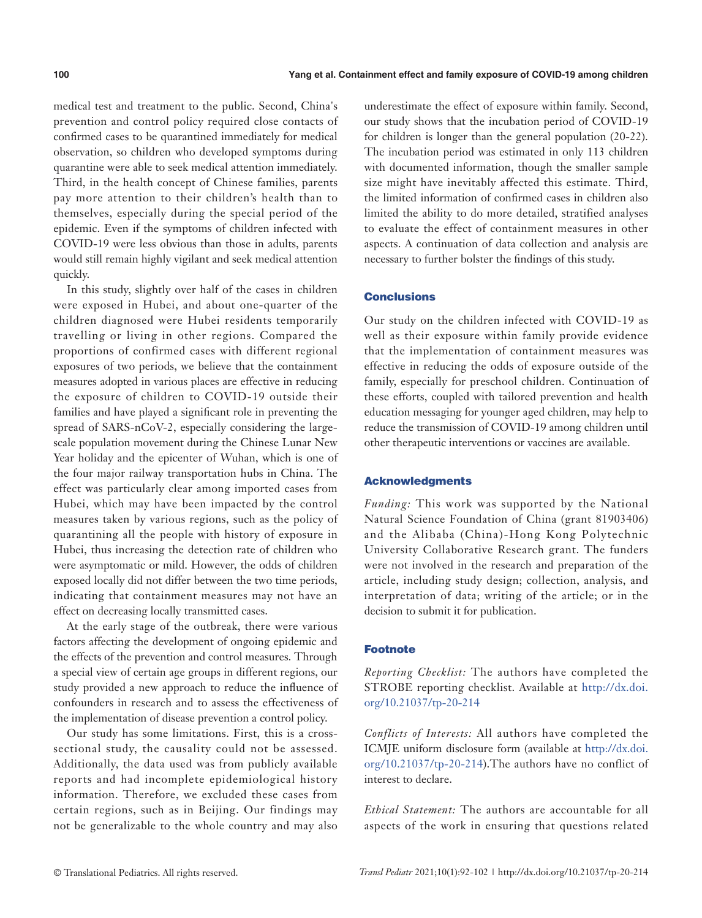medical test and treatment to the public. Second, China's prevention and control policy required close contacts of confirmed cases to be quarantined immediately for medical observation, so children who developed symptoms during quarantine were able to seek medical attention immediately. Third, in the health concept of Chinese families, parents pay more attention to their children's health than to themselves, especially during the special period of the epidemic. Even if the symptoms of children infected with COVID-19 were less obvious than those in adults, parents would still remain highly vigilant and seek medical attention quickly.

In this study, slightly over half of the cases in children were exposed in Hubei, and about one-quarter of the children diagnosed were Hubei residents temporarily travelling or living in other regions. Compared the proportions of confirmed cases with different regional exposures of two periods, we believe that the containment measures adopted in various places are effective in reducing the exposure of children to COVID-19 outside their families and have played a significant role in preventing the spread of SARS-nCoV-2, especially considering the largescale population movement during the Chinese Lunar New Year holiday and the epicenter of Wuhan, which is one of the four major railway transportation hubs in China. The effect was particularly clear among imported cases from Hubei, which may have been impacted by the control measures taken by various regions, such as the policy of quarantining all the people with history of exposure in Hubei, thus increasing the detection rate of children who were asymptomatic or mild. However, the odds of children exposed locally did not differ between the two time periods, indicating that containment measures may not have an effect on decreasing locally transmitted cases.

At the early stage of the outbreak, there were various factors affecting the development of ongoing epidemic and the effects of the prevention and control measures. Through a special view of certain age groups in different regions, our study provided a new approach to reduce the influence of confounders in research and to assess the effectiveness of the implementation of disease prevention a control policy.

Our study has some limitations. First, this is a crosssectional study, the causality could not be assessed. Additionally, the data used was from publicly available reports and had incomplete epidemiological history information. Therefore, we excluded these cases from certain regions, such as in Beijing. Our findings may not be generalizable to the whole country and may also

underestimate the effect of exposure within family. Second, our study shows that the incubation period of COVID-19 for children is longer than the general population (20-22). The incubation period was estimated in only 113 children with documented information, though the smaller sample size might have inevitably affected this estimate. Third, the limited information of confirmed cases in children also limited the ability to do more detailed, stratified analyses to evaluate the effect of containment measures in other aspects. A continuation of data collection and analysis are necessary to further bolster the findings of this study.

### **Conclusions**

Our study on the children infected with COVID-19 as well as their exposure within family provide evidence that the implementation of containment measures was effective in reducing the odds of exposure outside of the family, especially for preschool children. Continuation of these efforts, coupled with tailored prevention and health education messaging for younger aged children, may help to reduce the transmission of COVID-19 among children until other therapeutic interventions or vaccines are available.

### Acknowledgments

*Funding:* This work was supported by the National Natural Science Foundation of China (grant 81903406) and the Alibaba (China)-Hong Kong Polytechnic University Collaborative Research grant. The funders were not involved in the research and preparation of the article, including study design; collection, analysis, and interpretation of data; writing of the article; or in the decision to submit it for publication.

# Footnote

*Reporting Checklist:* The authors have completed the STROBE reporting checklist. Available at [http://dx.doi.](http://dx.doi.org/10.21037/tp-20-214) [org/10.21037/tp-20-214](http://dx.doi.org/10.21037/tp-20-214)

*Conflicts of Interests:* All authors have completed the ICMJE uniform disclosure form (available at [http://dx.doi.](http://dx.doi.org/10.21037/tp-20-214) [org/10.21037/tp-20-214\)](http://dx.doi.org/10.21037/tp-20-214).The authors have no conflict of interest to declare.

*Ethical Statement:* The authors are accountable for all aspects of the work in ensuring that questions related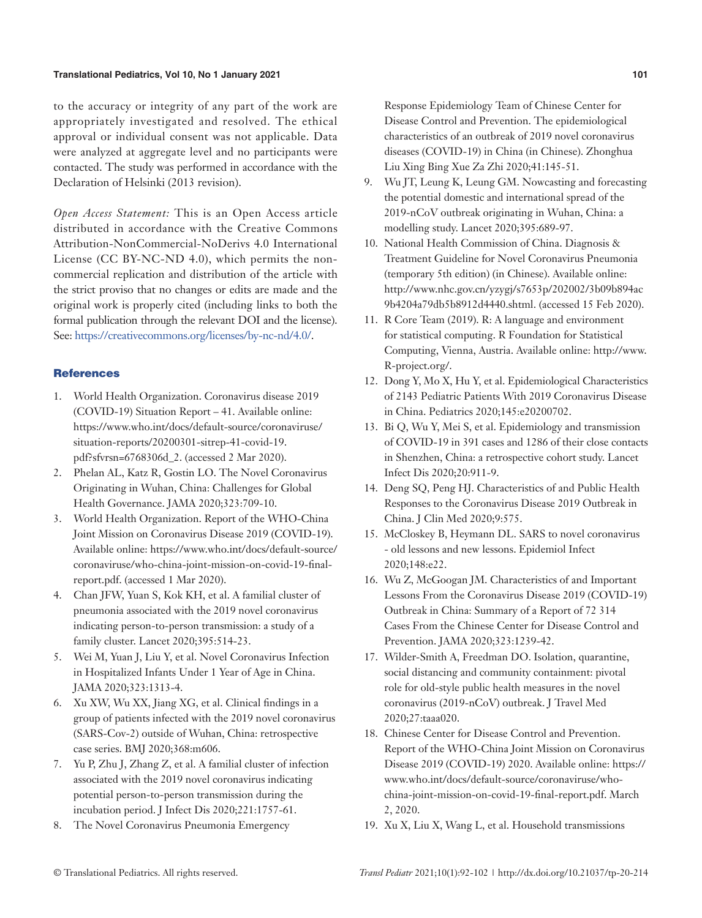to the accuracy or integrity of any part of the work are appropriately investigated and resolved. The ethical approval or individual consent was not applicable. Data were analyzed at aggregate level and no participants were contacted. The study was performed in accordance with the Declaration of Helsinki (2013 revision).

*Open Access Statement:* This is an Open Access article distributed in accordance with the Creative Commons Attribution-NonCommercial-NoDerivs 4.0 International License (CC BY-NC-ND 4.0), which permits the noncommercial replication and distribution of the article with the strict proviso that no changes or edits are made and the original work is properly cited (including links to both the formal publication through the relevant DOI and the license). See: [https://creativecommons.org/licenses/by-nc-nd/4.0/.](https://creativecommons.org/licenses/by-nc-nd/4.0/)

# **References**

- 1. World Health Organization. Coronavirus disease 2019 (COVID-19) Situation Report – 41. Available online: https://www.who.int/docs/default-source/coronaviruse/ situation-reports/20200301-sitrep-41-covid-19. pdf?sfvrsn=6768306d\_2. (accessed 2 Mar 2020).
- 2. Phelan AL, Katz R, Gostin LO. The Novel Coronavirus Originating in Wuhan, China: Challenges for Global Health Governance. JAMA 2020;323:709-10.
- 3. World Health Organization. Report of the WHO-China Joint Mission on Coronavirus Disease 2019 (COVID-19). Available online: https://www.who.int/docs/default-source/ coronaviruse/who-china-joint-mission-on-covid-19-finalreport.pdf. (accessed 1 Mar 2020).
- 4. Chan JFW, Yuan S, Kok KH, et al. A familial cluster of pneumonia associated with the 2019 novel coronavirus indicating person-to-person transmission: a study of a family cluster. Lancet 2020;395:514-23.
- 5. Wei M, Yuan J, Liu Y, et al. Novel Coronavirus Infection in Hospitalized Infants Under 1 Year of Age in China. JAMA 2020;323:1313-4.
- 6. Xu XW, Wu XX, Jiang XG, et al. Clinical findings in a group of patients infected with the 2019 novel coronavirus (SARS-Cov-2) outside of Wuhan, China: retrospective case series. BMJ 2020;368:m606.
- 7. Yu P, Zhu J, Zhang Z, et al. A familial cluster of infection associated with the 2019 novel coronavirus indicating potential person-to-person transmission during the incubation period. J Infect Dis 2020;221:1757-61.
- 8. The Novel Coronavirus Pneumonia Emergency

Response Epidemiology Team of Chinese Center for Disease Control and Prevention. The epidemiological characteristics of an outbreak of 2019 novel coronavirus diseases (COVID-19) in China (in Chinese). Zhonghua Liu Xing Bing Xue Za Zhi 2020;41:145-51.

- 9. Wu JT, Leung K, Leung GM. Nowcasting and forecasting the potential domestic and international spread of the 2019-nCoV outbreak originating in Wuhan, China: a modelling study. Lancet 2020;395:689-97.
- 10. National Health Commission of China. Diagnosis & Treatment Guideline for Novel Coronavirus Pneumonia (temporary 5th edition) (in Chinese). Available online: http://www.nhc.gov.cn/yzygj/s7653p/202002/3b09b894ac 9b4204a79db5b8912d4440.shtml. (accessed 15 Feb 2020).
- 11. R Core Team (2019). R: A language and environment for statistical computing. R Foundation for Statistical Computing, Vienna, Austria. Available online: http://www. R-project.org/.
- 12. Dong Y, Mo X, Hu Y, et al. Epidemiological Characteristics of 2143 Pediatric Patients With 2019 Coronavirus Disease in China. Pediatrics 2020;145:e20200702.
- 13. Bi Q, Wu Y, Mei S, et al. Epidemiology and transmission of COVID-19 in 391 cases and 1286 of their close contacts in Shenzhen, China: a retrospective cohort study. Lancet Infect Dis 2020;20:911-9.
- 14. Deng SQ, Peng HJ. Characteristics of and Public Health Responses to the Coronavirus Disease 2019 Outbreak in China. J Clin Med 2020;9:575.
- 15. McCloskey B, Heymann DL. SARS to novel coronavirus - old lessons and new lessons. Epidemiol Infect 2020;148:e22.
- 16. Wu Z, McGoogan JM. Characteristics of and Important Lessons From the Coronavirus Disease 2019 (COVID-19) Outbreak in China: Summary of a Report of 72 314 Cases From the Chinese Center for Disease Control and Prevention. JAMA 2020;323:1239-42.
- 17. Wilder-Smith A, Freedman DO. Isolation, quarantine, social distancing and community containment: pivotal role for old-style public health measures in the novel coronavirus (2019-nCoV) outbreak. J Travel Med 2020;27:taaa020.
- 18. Chinese Center for Disease Control and Prevention. Report of the WHO-China Joint Mission on Coronavirus Disease 2019 (COVID-19) 2020. Available online: https:// www.who.int/docs/default-source/coronaviruse/whochina-joint-mission-on-covid-19-final-report.pdf. March 2, 2020.
- 19. Xu X, Liu X, Wang L, et al. Household transmissions